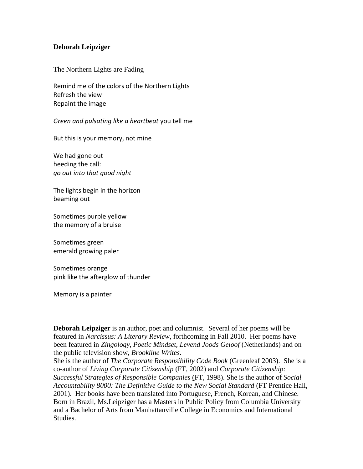## **Deborah Leipziger**

The Northern Lights are Fading

Remind me of the colors of the Northern Lights Refresh the view Repaint the image

*Green and pulsating like a heartbeat* you tell me

But this is your memory, not mine

We had gone out heeding the call: *go out into that good night*

The lights begin in the horizon beaming out

Sometimes purple yellow the memory of a bruise

Sometimes green emerald growing paler

Sometimes orange pink like the afterglow of thunder

Memory is a painter

**Deborah Leipziger** is an author, poet and columnist. Several of her poems will be featured in *Narcissus: A Literary Review*, forthcoming in Fall 2010. Her poems have been featured in *Zingology, Poetic Mindset, Levend Joods Geloof* (Netherlands) and on the public television show, *Brookline Writes*.

She is the author of *The Corporate Responsibility Code Book* (Greenleaf 2003). She is a co-author of *Living Corporate Citizenship* (FT, 2002) and *Corporate Citizenship: Successful Strategies of Responsible Companies* (FT, 1998). She is the author of *Social Accountability 8000: The Definitive Guide to the New Social Standard* (FT Prentice Hall, 2001). Her books have been translated into Portuguese, French, Korean, and Chinese. Born in Brazil, Ms.Leipziger has a Masters in Public Policy from Columbia University and a Bachelor of Arts from Manhattanville College in Economics and International Studies.